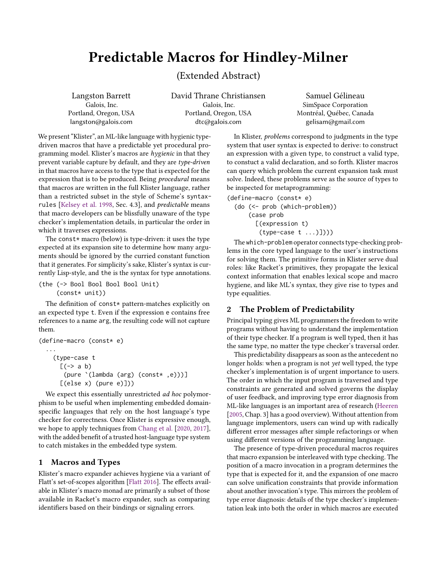# Predictable Macros for Hindley-Milner

(Extended Abstract)

Langston Barrett Galois, Inc. Portland, Oregon, USA langston@galois.com

David Thrane Christiansen Galois, Inc. Portland, Oregon, USA dtc@galois.com

Samuel Gélineau SimSpace Corporation Montréal, Québec, Canada gelisam@gmail.com

We present "Klister", an ML-like language with hygienic typedriven macros that have a predictable yet procedural programming model. Klister's macros are hygienic in that they prevent variable capture by default, and they are type-driven in that macros have access to the type that is expected for the expression that is to be produced. Being procedural means that macros are written in the full Klister language, rather than a restricted subset in the style of Scheme's syntaxrules [\[Kelsey et al.](#page-2-0) [1998,](#page-2-0) Sec. 4.3], and predictable means that macro developers can be blissfully unaware of the type checker's implementation details, in particular the order in which it traverses expressions.

The const\* macro (below) is type-driven: it uses the type expected at its expansion site to determine how many arguments should be ignored by the curried constant function that it generates. For simplicity's sake, Klister's syntax is currently Lisp-style, and the is the syntax for type annotations.

(the (-> Bool Bool Bool Bool Unit) (const\* unit))

The definition of const\* pattern-matches explicitly on an expected type t. Even if the expression e contains free references to a name arg, the resulting code will not capture them.

```
(define-macro (const* e)
...
 (type-case t
   [(-> a b)](pure `(lambda (arg) (const* ,e)))]
   [(else x) (pure e)])
```
We expect this essentially unrestricted *ad hoc* polymorphism to be useful when implementing embedded domainspecific languages that rely on the host language's type checker for correctness. Once Klister is expressive enough, we hope to apply techniques from [Chang et al.](#page-2-1) [\[2020,](#page-2-1) [2017\]](#page-2-2), with the added benefit of a trusted host-language type system to catch mistakes in the embedded type system.

## 1 Macros and Types

Klister's macro expander achieves hygiene via a variant of Flatt's set-of-scopes algorithm [\[Flatt](#page-2-3) [2016\]](#page-2-3). The effects available in Klister's macro monad are primarily a subset of those available in Racket's macro expander, such as comparing identifiers based on their bindings or signaling errors.

In Klister, problems correspond to judgments in the type system that user syntax is expected to derive: to construct an expression with a given type, to construct a valid type, to constuct a valid declaration, and so forth. Klister macros can query which problem the current expansion task must solve. Indeed, these problems serve as the source of types to be inspected for metaprogramming:

(define-macro (const\* e) (do (<- prob (which-problem)) (case prob [(expression t) (type-case t ...)])))

The which-problem operator connects type-checking problems in the core typed language to the user's instructions for solving them. The primitive forms in Klister serve dual roles: like Racket's primitives, they propagate the lexical context information that enables lexical scope and macro hygiene, and like ML's syntax, they give rise to types and type equalities.

## 2 The Problem of Predictability

Principal typing gives ML programmers the freedom to write programs without having to understand the implementation of their type checker. If a program is well typed, then it has the same type, no matter the type checker's traversal order.

This predictability disappears as soon as the antecedent no longer holds: when a program is not yet well typed, the type checker's implementation is of urgent importance to users. The order in which the input program is traversed and type constraints are generated and solved governs the display of user feedback, and improving type error diagnosis from ML-like languages is an important area of research [\(Heeren](#page-2-4) [\[2005,](#page-2-4) Chap. 3] has a good overview). Without attention from language implementors, users can wind up with radically different error messages after simple refactorings or when using different versions of the programming language.

The presence of type-driven procedural macros requires that macro expansion be interleaved with type checking. The position of a macro invocation in a program determines the type that is expected for it, and the expansion of one macro can solve unification constraints that provide information about another invocation's type. This mirrors the problem of type error diagnosis: details of the type checker's implementation leak into both the order in which macros are executed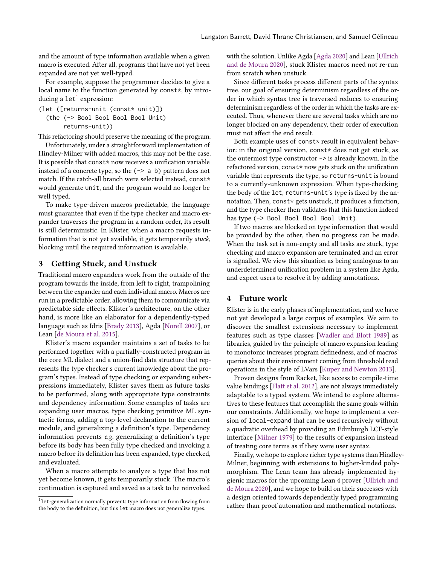and the amount of type information available when a given macro is executed. After all, programs that have not yet been expanded are not yet well-typed.

For example, suppose the programmer decides to give a local name to the function generated by const\*, by intro-ducing a let<sup>[1](#page-1-0)</sup> expression:

(let ([returns-unit (const\* unit)])

(the (-> Bool Bool Bool Bool Unit) returns-unit))

This refactoring should preserve the meaning of the program.

Unfortunately, under a straightforward implementation of Hindley-Milner with added macros, this may not be the case. It is possible that const\* now receives a unification variable instead of a concrete type, so the (-> a b) pattern does not match. If the catch-all branch were selected instead, const\* would generate unit, and the program would no longer be well typed.

To make type-driven macros predictable, the language must guarantee that even if the type checker and macro expander traverses the program in a random order, its result is still deterministic. In Klister, when a macro requests information that is not yet available, it gets temporarily stuck, blocking until the required information is available.

#### 3 Getting Stuck, and Unstuck

Traditional macro expanders work from the outside of the program towards the inside, from left to right, trampolining between the expander and each individual macro. Macros are run in a predictable order, allowing them to communicate via predictable side effects. Klister's architecture, on the other hand, is more like an elaborator for a dependently-typed language such as Idris [\[Brady](#page-2-5) [2013\]](#page-2-5), Agda [\[Norell](#page-2-6) [2007\]](#page-2-6), or Lean [\[de Moura et al.](#page-2-7) [2015\]](#page-2-7).

Klister's macro expander maintains a set of tasks to be performed together with a partially-constructed program in the core ML dialect and a union-find data structure that represents the type checker's current knowledge about the program's types. Instead of type checking or expanding subexpressions immediately, Klister saves them as future tasks to be performed, along with appropriate type constraints and dependency information. Some examples of tasks are expanding user macros, type checking primitive ML syntactic forms, adding a top-level declaration to the current module, and generalizing a definition's type. Dependency information prevents e.g. generalizing a definition's type before its body has been fully type checked and invoking a macro before its definition has been expanded, type checked, and evaluated.

When a macro attempts to analyze a type that has not yet become known, it gets temporarily stuck. The macro's continuation is captured and saved as a task to be reinvoked

with the solution. Unlike Agda [\[Agda](#page-2-8) [2020\]](#page-2-8) and Lean [\[Ullrich](#page-2-9) [and de Moura](#page-2-9) [2020\]](#page-2-9), stuck Klister macros need not re-run from scratch when unstuck.

Since different tasks process different parts of the syntax tree, our goal of ensuring determinism regardless of the order in which syntax tree is traversed reduces to ensuring determinism regardless of the order in which the tasks are executed. Thus, whenever there are several tasks which are no longer blocked on any dependency, their order of execution must not affect the end result.

Both example uses of const\* result in equivalent behavior: in the original version, const\* does not get stuck, as the outermost type constructor  $\rightarrow$  is already known. In the refactored version, const $*$  now gets stuck on the unification variable that represents the type, so returns-unit is bound to a currently-unknown expression. When type-checking the body of the let, returns-unit's type is fixed by the annotation. Then, const\* gets unstuck, it produces a function, and the type checker then validates that this function indeed has type (-> Bool Bool Bool Bool Unit).

If two macros are blocked on type information that would be provided by the other, then no progress can be made. When the task set is non-empty and all tasks are stuck, type checking and macro expansion are terminated and an error is signalled. We view this situation as being analogous to an underdetermined unification problem in a system like Agda, and expect users to resolve it by adding annotations.

### 4 Future work

Klister is in the early phases of implementation, and we have not yet developed a large corpus of examples. We aim to discover the smallest extensions necessary to implement features such as type classes [\[Wadler and Blott](#page-2-10) [1989\]](#page-2-10) as libraries, guided by the principle of macro expansion leading to monotonic increases program definedness, and of macros' queries about their environment coming from threshold read operations in the style of LVars [\[Kuper and Newton](#page-2-11) [2013\]](#page-2-11).

Proven designs from Racket, like access to compile-time value bindings [\[Flatt et al.](#page-2-12) [2012\]](#page-2-12), are not always immediately adaptable to a typed system. We intend to explore alternatives to these features that accomplish the same goals within our constraints. Additionally, we hope to implement a version of local-expand that can be used recursively without a quadratic overhead by providing an Edinburgh LCF-style interface [\[Milner](#page-2-13) [1979\]](#page-2-13) to the results of expansion instead of treating core terms as if they were user syntax.

Finally, we hope to explore richer type systems than Hindley-Milner, beginning with extensions to higher-kinded polymorphism. The Lean team has already implemented hygienic macros for the upcoming Lean 4 prover [\[Ullrich and](#page-2-9) [de Moura](#page-2-9) [2020\]](#page-2-9), and we hope to build on their successes with a design oriented towards dependently typed programming rather than proof automation and mathematical notations.

<span id="page-1-0"></span> $1$ let-generalization normally prevents type information from flowing from the body to the definition, but this let macro does not generalize types.